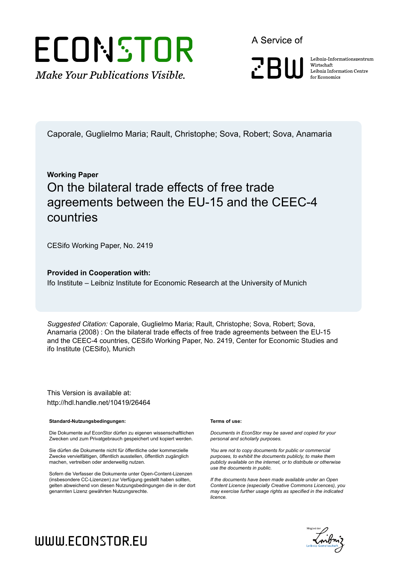# ECONSTOR **Make Your Publications Visible.**

A Service of

**ZBW** 

Leibniz Informationszentrum Wirtschaft Leibniz Information Centre for Economics

Caporale, Guglielmo Maria; Rault, Christophe; Sova, Robert; Sova, Anamaria

### **Working Paper** On the bilateral trade effects of free trade agreements between the EU-15 and the CEEC-4 countries

CESifo Working Paper, No. 2419

#### **Provided in Cooperation with:**

Ifo Institute – Leibniz Institute for Economic Research at the University of Munich

*Suggested Citation:* Caporale, Guglielmo Maria; Rault, Christophe; Sova, Robert; Sova, Anamaria (2008) : On the bilateral trade effects of free trade agreements between the EU-15 and the CEEC-4 countries, CESifo Working Paper, No. 2419, Center for Economic Studies and ifo Institute (CESifo), Munich

This Version is available at: http://hdl.handle.net/10419/26464

#### **Standard-Nutzungsbedingungen:**

Die Dokumente auf EconStor dürfen zu eigenen wissenschaftlichen Zwecken und zum Privatgebrauch gespeichert und kopiert werden.

Sie dürfen die Dokumente nicht für öffentliche oder kommerzielle Zwecke vervielfältigen, öffentlich ausstellen, öffentlich zugänglich machen, vertreiben oder anderweitig nutzen.

Sofern die Verfasser die Dokumente unter Open-Content-Lizenzen (insbesondere CC-Lizenzen) zur Verfügung gestellt haben sollten, gelten abweichend von diesen Nutzungsbedingungen die in der dort genannten Lizenz gewährten Nutzungsrechte.

#### **Terms of use:**

*Documents in EconStor may be saved and copied for your personal and scholarly purposes.*

*You are not to copy documents for public or commercial purposes, to exhibit the documents publicly, to make them publicly available on the internet, or to distribute or otherwise use the documents in public.*

*If the documents have been made available under an Open Content Licence (especially Creative Commons Licences), you may exercise further usage rights as specified in the indicated licence.*



# WWW.ECONSTOR.EU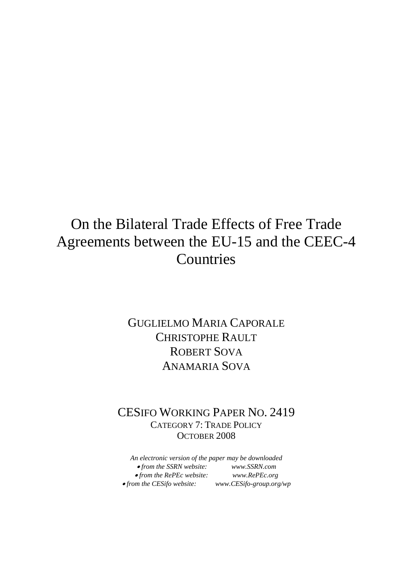# On the Bilateral Trade Effects of Free Trade Agreements between the EU-15 and the CEEC-4 Countries

### GUGLIELMO MARIA CAPORALE CHRISTOPHE RAULT ROBERT SOVA ANAMARIA SOVA

### CESIFO WORKING PAPER NO. 2419 CATEGORY 7: TRADE POLICY OCTOBER 2008

*An electronic version of the paper may be downloaded*  • *from the SSRN website: www.SSRN.com*  • *from the RePEc website: www.RePEc.org*  •*from the CESifo website: www.CESifo-group.org/wp*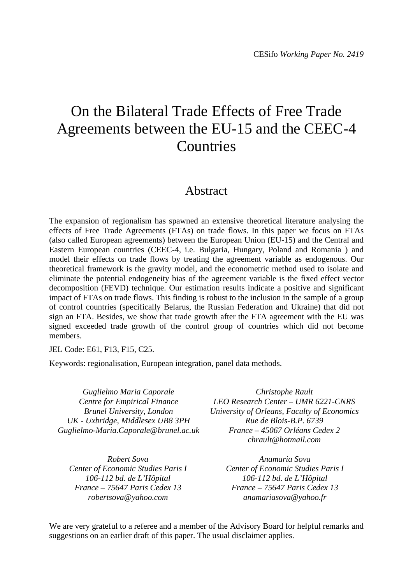# On the Bilateral Trade Effects of Free Trade Agreements between the EU-15 and the CEEC-4 Countries

### Abstract

The expansion of regionalism has spawned an extensive theoretical literature analysing the effects of Free Trade Agreements (FTAs) on trade flows. In this paper we focus on FTAs (also called European agreements) between the European Union (EU-15) and the Central and Eastern European countries (CEEC-4, i.e. Bulgaria, Hungary, Poland and Romania ) and model their effects on trade flows by treating the agreement variable as endogenous. Our theoretical framework is the gravity model, and the econometric method used to isolate and eliminate the potential endogeneity bias of the agreement variable is the fixed effect vector decomposition (FEVD) technique. Our estimation results indicate a positive and significant impact of FTAs on trade flows. This finding is robust to the inclusion in the sample of a group of control countries (specifically Belarus, the Russian Federation and Ukraine) that did not sign an FTA. Besides, we show that trade growth after the FTA agreement with the EU was signed exceeded trade growth of the control group of countries which did not become members.

JEL Code: E61, F13, F15, C25.

Keywords: regionalisation, European integration, panel data methods.

*Guglielmo Maria Caporale Centre for Empirical Finance Brunel University, London UK - Uxbridge, Middlesex UB8 3PH Guglielmo-Maria.Caporale@brunel.ac.uk* 

*Robert Sova Center of Economic Studies Paris I 106-112 bd. de L'Hôpital France – 75647 Paris Cedex 13 robertsova@yahoo.com* 

*Christophe Rault LEO Research Center – UMR 6221-CNRS University of Orleans, Faculty of Economics Rue de Blois-B.P. 6739 France – 45067 Orléans Cedex 2 chrault@hotmail.com* 

> *Anamaria Sova Center of Economic Studies Paris I 106-112 bd. de L'Hôpital France – 75647 Paris Cedex 13 anamariasova@yahoo.fr*

We are very grateful to a referee and a member of the Advisory Board for helpful remarks and suggestions on an earlier draft of this paper. The usual disclaimer applies.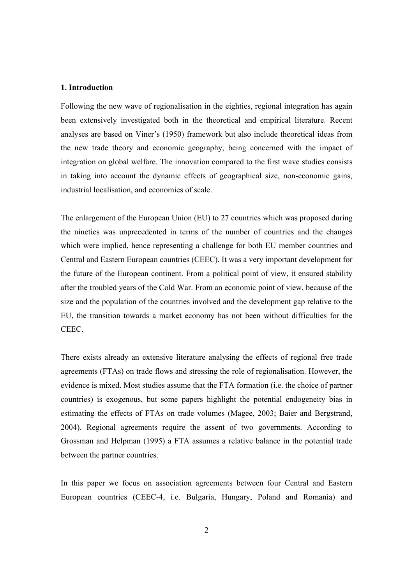#### **1. Introduction**

Following the new wave of regionalisation in the eighties, regional integration has again been extensively investigated both in the theoretical and empirical literature. Recent analyses are based on Viner's (1950) framework but also include theoretical ideas from the new trade theory and economic geography, being concerned with the impact of integration on global welfare. The innovation compared to the first wave studies consists in taking into account the dynamic effects of geographical size, non-economic gains, industrial localisation, and economies of scale.

The enlargement of the European Union (EU) to 27 countries which was proposed during the nineties was unprecedented in terms of the number of countries and the changes which were implied, hence representing a challenge for both EU member countries and Central and Eastern European countries (CEEC). It was a very important development for the future of the European continent. From a political point of view, it ensured stability after the troubled years of the Cold War. From an economic point of view, because of the size and the population of the countries involved and the development gap relative to the EU, the transition towards a market economy has not been without difficulties for the CEEC.

There exists already an extensive literature analysing the effects of regional free trade agreements (FTAs) on trade flows and stressing the role of regionalisation. However, the evidence is mixed. Most studies assume that the FTA formation (i.e. the choice of partner countries) is exogenous, but some papers highlight the potential endogeneity bias in estimating the effects of FTAs on trade volumes (Magee, 2003; Baier and Bergstrand, 2004). Regional agreements require the assent of two governments. According to Grossman and Helpman (1995) a FTA assumes a relative balance in the potential trade between the partner countries.

In this paper we focus on association agreements between four Central and Eastern European countries (CEEC-4, i.e. Bulgaria, Hungary, Poland and Romania) and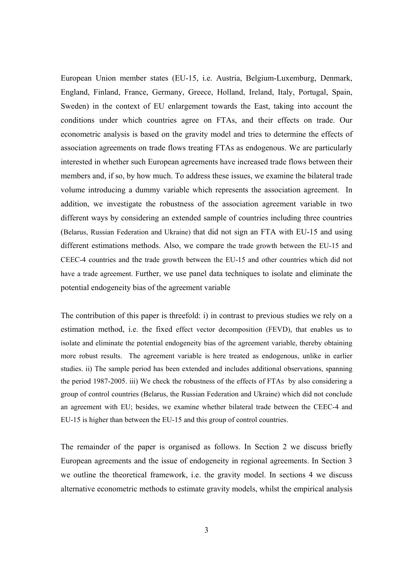European Union member states (EU-15, i.e. Austria, Belgium-Luxemburg, Denmark, England, Finland, France, Germany, Greece, Holland, Ireland, Italy, Portugal, Spain, Sweden) in the context of EU enlargement towards the East, taking into account the conditions under which countries agree on FTAs, and their effects on trade. Our econometric analysis is based on the gravity model and tries to determine the effects of association agreements on trade flows treating FTAs as endogenous. We are particularly interested in whether such European agreements have increased trade flows between their members and, if so, by how much. To address these issues, we examine the bilateral trade volume introducing a dummy variable which represents the association agreement. In addition, we investigate the robustness of the association agreement variable in two different ways by considering an extended sample of countries including three countries (Belarus, Russian Federation and Ukraine) that did not sign an FTA with EU-15 and using different estimations methods. Also, we compare the trade growth between the EU-15 and CEEC-4 countries and the trade growth between the EU-15 and other countries which did not have a trade agreement. Further, we use panel data techniques to isolate and eliminate the potential endogeneity bias of the agreement variable

The contribution of this paper is threefold: i) in contrast to previous studies we rely on a estimation method, i.e. the fixed effect vector decomposition (FEVD), that enables us to isolate and eliminate the potential endogeneity bias of the agreement variable, thereby obtaining more robust results. The agreement variable is here treated as endogenous, unlike in earlier studies. ii) The sample period has been extended and includes additional observations, spanning the period 1987-2005. iii) We check the robustness of the effects of FTAs by also considering a group of control countries (Belarus, the Russian Federation and Ukraine) which did not conclude an agreement with EU; besides, we examine whether bilateral trade between the CEEC-4 and EU-15 is higher than between the EU-15 and this group of control countries.

The remainder of the paper is organised as follows. In Section 2 we discuss briefly European agreements and the issue of endogeneity in regional agreements. In Section 3 we outline the theoretical framework, i.e. the gravity model. In sections 4 we discuss alternative econometric methods to estimate gravity models, whilst the empirical analysis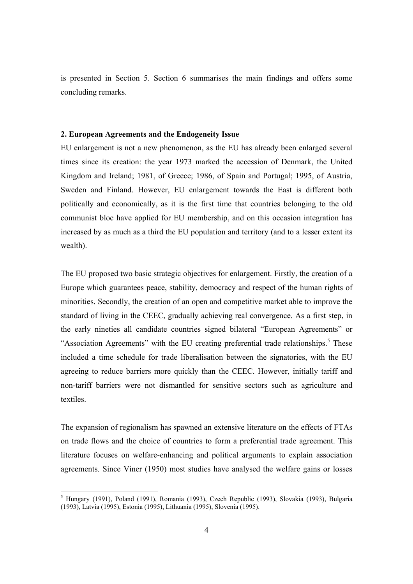is presented in Section 5. Section 6 summarises the main findings and offers some concluding remarks.

#### **2. European Agreements and the Endogeneity Issue**

EU enlargement is not a new phenomenon, as the EU has already been enlarged several times since its creation: the year 1973 marked the accession of Denmark, the United Kingdom and Ireland; 1981, of Greece; 1986, of Spain and Portugal; 1995, of Austria, Sweden and Finland. However, EU enlargement towards the East is different both politically and economically, as it is the first time that countries belonging to the old communist bloc have applied for EU membership, and on this occasion integration has increased by as much as a third the EU population and territory (and to a lesser extent its wealth).

The EU proposed two basic strategic objectives for enlargement. Firstly, the creation of a Europe which guarantees peace, stability, democracy and respect of the human rights of minorities. Secondly, the creation of an open and competitive market able to improve the standard of living in the CEEC, gradually achieving real convergence. As a first step, in the early nineties all candidate countries signed bilateral "European Agreements" or "Association Agreements" with the EU creating preferential trade relationships.<sup>5</sup> These included a time schedule for trade liberalisation between the signatories, with the EU agreeing to reduce barriers more quickly than the CEEC. However, initially tariff and non-tariff barriers were not dismantled for sensitive sectors such as agriculture and textiles.

The expansion of regionalism has spawned an extensive literature on the effects of FTAs on trade flows and the choice of countries to form a preferential trade agreement. This literature focuses on welfare-enhancing and political arguments to explain association agreements. Since Viner (1950) most studies have analysed the welfare gains or losses

<sup>5</sup> Hungary (1991), Poland (1991), Romania (1993), Czech Republic (1993), Slovakia (1993), Bulgaria (1993), Latvia (1995), Estonia (1995), Lithuania (1995), Slovenia (1995).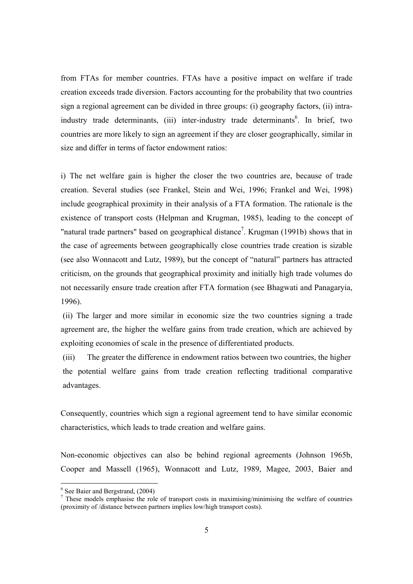from FTAs for member countries. FTAs have a positive impact on welfare if trade creation exceeds trade diversion. Factors accounting for the probability that two countries sign a regional agreement can be divided in three groups: (i) geography factors, (ii) intraindustry trade determinants, (iii) inter-industry trade determinants<sup>6</sup>. In brief, two countries are more likely to sign an agreement if they are closer geographically, similar in size and differ in terms of factor endowment ratios:

i) The net welfare gain is higher the closer the two countries are, because of trade creation. Several studies (see Frankel, Stein and Wei, 1996; Frankel and Wei, 1998) include geographical proximity in their analysis of a FTA formation. The rationale is the existence of transport costs (Helpman and Krugman, 1985), leading to the concept of "natural trade partners" based on geographical distance<sup>7</sup>. Krugman (1991b) shows that in the case of agreements between geographically close countries trade creation is sizable (see also Wonnacott and Lutz, 1989), but the concept of "natural" partners has attracted criticism, on the grounds that geographical proximity and initially high trade volumes do not necessarily ensure trade creation after FTA formation (see Bhagwati and Panagaryia, 1996).

 (ii) The larger and more similar in economic size the two countries signing a trade agreement are, the higher the welfare gains from trade creation, which are achieved by exploiting economies of scale in the presence of differentiated products.

(iii) The greater the difference in endowment ratios between two countries, the higher the potential welfare gains from trade creation reflecting traditional comparative advantages.

Consequently, countries which sign a regional agreement tend to have similar economic characteristics, which leads to trade creation and welfare gains.

Non-economic objectives can also be behind regional agreements (Johnson 1965b, Cooper and Massell (1965), Wonnacott and Lutz, 1989, Magee, 2003, Baier and

<sup>&</sup>lt;sup>6</sup> See Baier and Bergstrand, (2004)

<sup>7</sup> These models emphasise the role of transport costs in maximising/minimising the welfare of countries (proximity of /distance between partners implies low/high transport costs).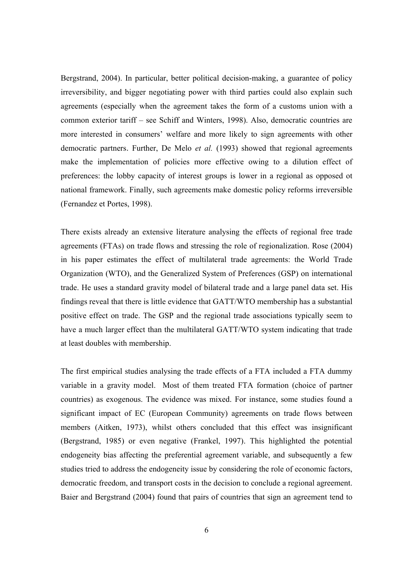Bergstrand, 2004). In particular, better political decision-making, a guarantee of policy irreversibility, and bigger negotiating power with third parties could also explain such agreements (especially when the agreement takes the form of a customs union with a common exterior tariff – see Schiff and Winters, 1998). Also, democratic countries are more interested in consumers' welfare and more likely to sign agreements with other democratic partners. Further, De Melo *et al.* (1993) showed that regional agreements make the implementation of policies more effective owing to a dilution effect of preferences: the lobby capacity of interest groups is lower in a regional as opposed ot national framework. Finally, such agreements make domestic policy reforms irreversible (Fernandez et Portes, 1998).

There exists already an extensive literature analysing the effects of regional free trade agreements (FTAs) on trade flows and stressing the role of regionalization. Rose (2004) in his paper estimates the effect of multilateral trade agreements: the World Trade Organization (WTO), and the Generalized System of Preferences (GSP) on international trade. He uses a standard gravity model of bilateral trade and a large panel data set. His findings reveal that there is little evidence that GATT/WTO membership has a substantial positive effect on trade. The GSP and the regional trade associations typically seem to have a much larger effect than the multilateral GATT/WTO system indicating that trade at least doubles with membership.

The first empirical studies analysing the trade effects of a FTA included a FTA dummy variable in a gravity model. Most of them treated FTA formation (choice of partner countries) as exogenous. The evidence was mixed. For instance, some studies found a significant impact of EC (European Community) agreements on trade flows between members (Aitken, 1973), whilst others concluded that this effect was insignificant (Bergstrand, 1985) or even negative (Frankel, 1997). This highlighted the potential endogeneity bias affecting the preferential agreement variable, and subsequently a few studies tried to address the endogeneity issue by considering the role of economic factors, democratic freedom, and transport costs in the decision to conclude a regional agreement. Baier and Bergstrand (2004) found that pairs of countries that sign an agreement tend to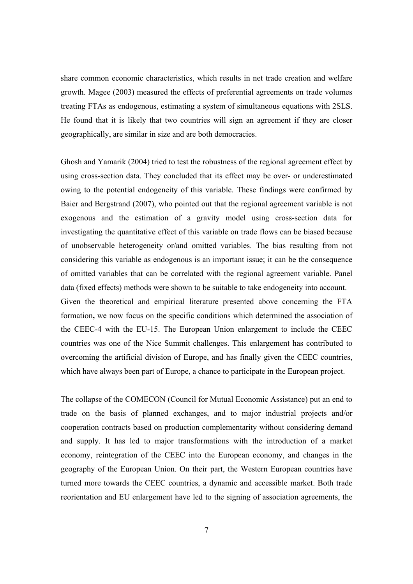share common economic characteristics, which results in net trade creation and welfare growth. Magee (2003) measured the effects of preferential agreements on trade volumes treating FTAs as endogenous, estimating a system of simultaneous equations with 2SLS. He found that it is likely that two countries will sign an agreement if they are closer geographically, are similar in size and are both democracies.

Ghosh and Yamarik (2004) tried to test the robustness of the regional agreement effect by using cross-section data. They concluded that its effect may be over- or underestimated owing to the potential endogeneity of this variable. These findings were confirmed by Baier and Bergstrand (2007), who pointed out that the regional agreement variable is not exogenous and the estimation of a gravity model using cross-section data for investigating the quantitative effect of this variable on trade flows can be biased because of unobservable heterogeneity or/and omitted variables. The bias resulting from not considering this variable as endogenous is an important issue; it can be the consequence of omitted variables that can be correlated with the regional agreement variable. Panel data (fixed effects) methods were shown to be suitable to take endogeneity into account. Given the theoretical and empirical literature presented above concerning the FTA formation**,** we now focus on the specific conditions which determined the association of the CEEC-4 with the EU-15. The European Union enlargement to include the CEEC countries was one of the Nice Summit challenges. This enlargement has contributed to overcoming the artificial division of Europe, and has finally given the CEEC countries, which have always been part of Europe, a chance to participate in the European project.

The collapse of the COMECON (Council for Mutual Economic Assistance) put an end to trade on the basis of planned exchanges, and to major industrial projects and/or cooperation contracts based on production complementarity without considering demand and supply. It has led to major transformations with the introduction of a market economy, reintegration of the CEEC into the European economy, and changes in the geography of the European Union. On their part, the Western European countries have turned more towards the CEEC countries, a dynamic and accessible market. Both trade reorientation and EU enlargement have led to the signing of association agreements, the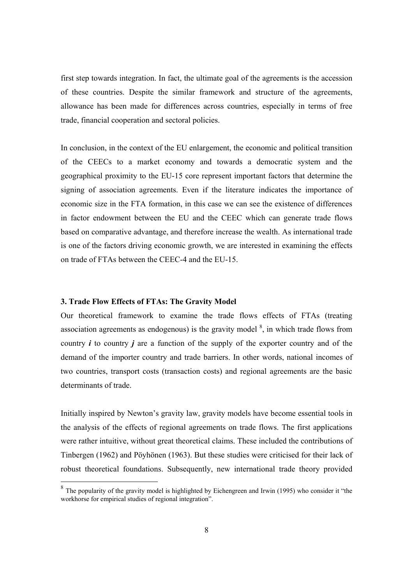first step towards integration. In fact, the ultimate goal of the agreements is the accession of these countries. Despite the similar framework and structure of the agreements, allowance has been made for differences across countries, especially in terms of free trade, financial cooperation and sectoral policies.

In conclusion, in the context of the EU enlargement, the economic and political transition of the CEECs to a market economy and towards a democratic system and the geographical proximity to the EU-15 core represent important factors that determine the signing of association agreements. Even if the literature indicates the importance of economic size in the FTA formation, in this case we can see the existence of differences in factor endowment between the EU and the CEEC which can generate trade flows based on comparative advantage, and therefore increase the wealth. As international trade is one of the factors driving economic growth, we are interested in examining the effects on trade of FTAs between the CEEC-4 and the EU-15.

#### **3. Trade Flow Effects of FTAs: The Gravity Model**

Our theoretical framework to examine the trade flows effects of FTAs (treating association agreements as endogenous) is the gravity model  $\delta$ , in which trade flows from country *i* to country *j* are a function of the supply of the exporter country and of the demand of the importer country and trade barriers. In other words, national incomes of two countries, transport costs (transaction costs) and regional agreements are the basic determinants of trade.

Initially inspired by Newton's gravity law, gravity models have become essential tools in the analysis of the effects of regional agreements on trade flows. The first applications were rather intuitive, without great theoretical claims. These included the contributions of Tinbergen (1962) and Pöyhönen (1963). But these studies were criticised for their lack of robust theoretical foundations. Subsequently, new international trade theory provided

<sup>&</sup>lt;sup>8</sup> The popularity of the gravity model is highlighted by Eichengreen and Irwin (1995) who consider it "the workhorse for empirical studies of regional integration".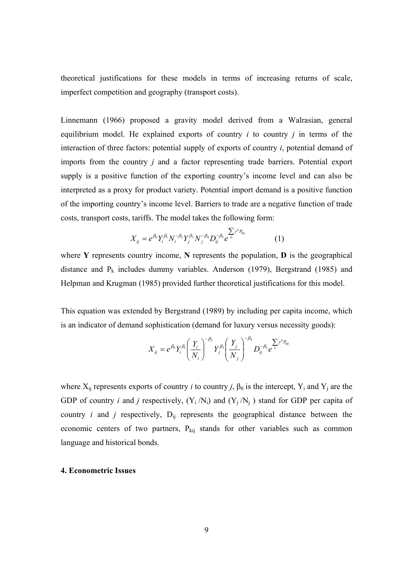theoretical justifications for these models in terms of increasing returns of scale, imperfect competition and geography (transport costs).

Linnemann (1966) proposed a gravity model derived from a Walrasian, general equilibrium model. He explained exports of country *i* to country *j* in terms of the interaction of three factors: potential supply of exports of country *i*, potential demand of imports from the country *j* and a factor representing trade barriers. Potential export supply is a positive function of the exporting country's income level and can also be interpreted as a proxy for product variety. Potential import demand is a positive function of the importing country's income level. Barriers to trade are a negative function of trade costs, transport costs, tariffs. The model takes the following form:

$$
X_{ij} = e^{\beta_0} Y_i^{\beta_1} N_i^{-\beta_2} Y_j^{\beta_3} N_j^{-\beta_4} D_{ij}^{-\beta_5} e^{-\sum_{k} y^k P_{kij}}
$$
(1)

where **Y** represents country income, **N** represents the population, **D** is the geographical distance and  $P_k$  includes dummy variables. Anderson (1979), Bergstrand (1985) and Helpman and Krugman (1985) provided further theoretical justifications for this model.

This equation was extended by Bergstrand (1989) by including per capita income, which is an indicator of demand sophistication (demand for luxury versus necessity goods):

$$
X_{ij} = e^{\beta_0} Y_i^{\beta_1} \left( \frac{Y_i}{N_i} \right)^{-\beta_2} Y_j^{\beta_3} \left( \frac{Y_j}{N_j} \right)^{-\beta_4} D_{ij}^{-\beta_5} e^{-\sum_{k} Y^k P_{kj}}
$$

where  $X_{ij}$  represents exports of country *i* to country *j*,  $\beta_0$  is the intercept,  $Y_i$  and  $Y_j$  are the GDP of country *i* and *j* respectively,  $(Y_i/N_i)$  and  $(Y_i/N_i)$  stand for GDP per capita of country  $i$  and  $j$  respectively,  $D_{ij}$  represents the geographical distance between the economic centers of two partners,  $P_{kij}$  stands for other variables such as common language and historical bonds.

#### **4. Econometric Issues**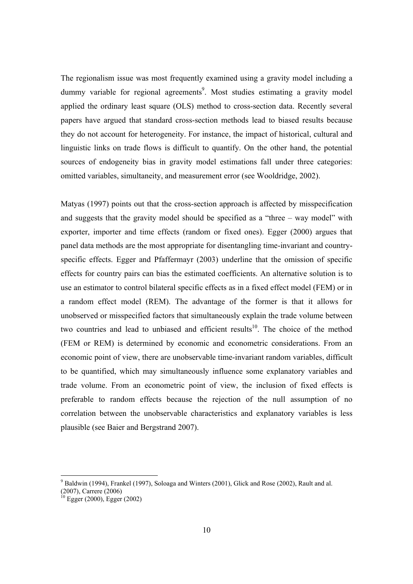The regionalism issue was most frequently examined using a gravity model including a dummy variable for regional agreements<sup>9</sup>. Most studies estimating a gravity model applied the ordinary least square (OLS) method to cross-section data. Recently several papers have argued that standard cross-section methods lead to biased results because they do not account for heterogeneity. For instance, the impact of historical, cultural and linguistic links on trade flows is difficult to quantify. On the other hand, the potential sources of endogeneity bias in gravity model estimations fall under three categories: omitted variables, simultaneity, and measurement error (see Wooldridge, 2002).

Matyas (1997) points out that the cross-section approach is affected by misspecification and suggests that the gravity model should be specified as a "three – way model" with exporter, importer and time effects (random or fixed ones). Egger (2000) argues that panel data methods are the most appropriate for disentangling time-invariant and countryspecific effects. Egger and Pfaffermayr (2003) underline that the omission of specific effects for country pairs can bias the estimated coefficients. An alternative solution is to use an estimator to control bilateral specific effects as in a fixed effect model (FEM) or in a random effect model (REM). The advantage of the former is that it allows for unobserved or misspecified factors that simultaneously explain the trade volume between two countries and lead to unbiased and efficient results<sup>10</sup>. The choice of the method (FEM or REM) is determined by economic and econometric considerations. From an economic point of view, there are unobservable time-invariant random variables, difficult to be quantified, which may simultaneously influence some explanatory variables and trade volume. From an econometric point of view, the inclusion of fixed effects is preferable to random effects because the rejection of the null assumption of no correlation between the unobservable characteristics and explanatory variables is less plausible (see Baier and Bergstrand 2007).

 $9$  Baldwin (1994), Frankel (1997), Soloaga and Winters (2001), Glick and Rose (2002), Rault and al. (2007), Carrere (2006)

 $10$  Egger (2000), Egger (2002)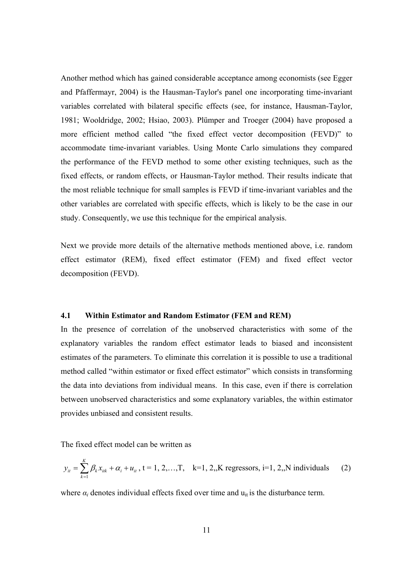Another method which has gained considerable acceptance among economists (see Egger and Pfaffermayr, 2004) is the Hausman-Taylor's panel one incorporating time-invariant variables correlated with bilateral specific effects (see, for instance, Hausman-Taylor, 1981; Wooldridge, 2002; Hsiao, 2003). Plümper and Troeger (2004) have proposed a more efficient method called "the fixed effect vector decomposition (FEVD)" to accommodate time-invariant variables. Using Monte Carlo simulations they compared the performance of the FEVD method to some other existing techniques, such as the fixed effects, or random effects, or Hausman-Taylor method. Their results indicate that the most reliable technique for small samples is FEVD if time-invariant variables and the other variables are correlated with specific effects, which is likely to be the case in our study. Consequently, we use this technique for the empirical analysis.

Next we provide more details of the alternative methods mentioned above, i.e. random effect estimator (REM), fixed effect estimator (FEM) and fixed effect vector decomposition (FEVD).

#### **4.1 Within Estimator and Random Estimator (FEM and REM)**

In the presence of correlation of the unobserved characteristics with some of the explanatory variables the random effect estimator leads to biased and inconsistent estimates of the parameters. To eliminate this correlation it is possible to use a traditional method called "within estimator or fixed effect estimator" which consists in transforming the data into deviations from individual means. In this case, even if there is correlation between unobserved characteristics and some explanatory variables, the within estimator provides unbiased and consistent results.

The fixed effect model can be written as

$$
y_{it} = \sum_{k=1}^{K} \beta_k x_{itk} + \alpha_i + u_{it}, t = 1, 2, ..., T, k = 1, 2, K \text{ regressors, } i = 1, 2, N \text{ individuals}
$$
 (2)

where  $\alpha_i$  denotes individual effects fixed over time and  $u_{it}$  is the disturbance term.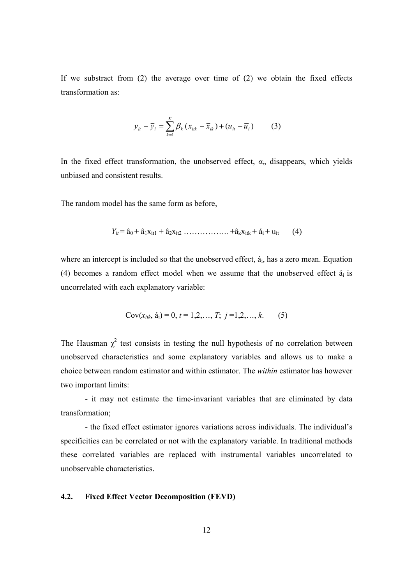If we substract from (2) the average over time of (2) we obtain the fixed effects transformation as:

$$
y_{it} - \overline{y}_i = \sum_{k=1}^{K} \beta_k (x_{itk} - \overline{x}_{ik}) + (u_{it} - \overline{u}_i)
$$
 (3)

In the fixed effect transformation, the unobserved effect,  $\alpha_i$ , disappears, which yields unbiased and consistent results.

The random model has the same form as before,

$$
Y_{it} = \hat{a}_0 + \hat{a}_1 x_{it1} + \hat{a}_2 x_{it2} \dots \dots \dots \dots \dots \dots + \hat{a}_k x_{itk} + \hat{a}_i + u_{it} \tag{4}
$$

where an intercept is included so that the unobserved effect,  $\acute{a}_{i}$ , has a zero mean. Equation (4) becomes a random effect model when we assume that the unobserved effect  $\dot{a}_i$  is uncorrelated with each explanatory variable:

$$
Cov(x_{itk}, \, \acute{a}_i) = 0, \, t = 1, 2, \dots, T; \, j = 1, 2, \dots, k. \qquad (5)
$$

The Hausman  $\chi^2$  test consists in testing the null hypothesis of no correlation between unobserved characteristics and some explanatory variables and allows us to make a choice between random estimator and within estimator. The *within* estimator has however two important limits:

- it may not estimate the time-invariant variables that are eliminated by data transformation;

- the fixed effect estimator ignores variations across individuals. The individual's specificities can be correlated or not with the explanatory variable. In traditional methods these correlated variables are replaced with instrumental variables uncorrelated to unobservable characteristics.

#### **4.2. Fixed Effect Vector Decomposition (FEVD)**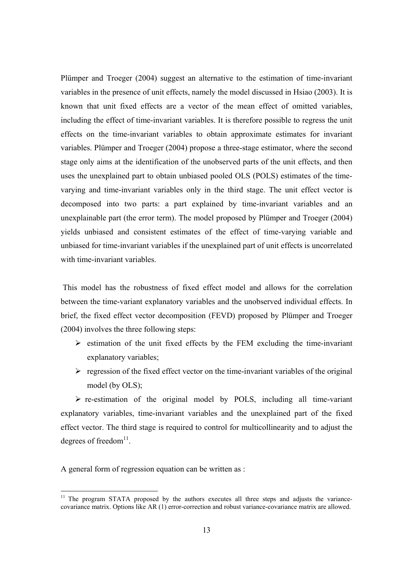Plümper and Troeger (2004) suggest an alternative to the estimation of time-invariant variables in the presence of unit effects, namely the model discussed in Hsiao (2003). It is known that unit fixed effects are a vector of the mean effect of omitted variables, including the effect of time-invariant variables. It is therefore possible to regress the unit effects on the time-invariant variables to obtain approximate estimates for invariant variables. Plümper and Troeger (2004) propose a three-stage estimator, where the second stage only aims at the identification of the unobserved parts of the unit effects, and then uses the unexplained part to obtain unbiased pooled OLS (POLS) estimates of the timevarying and time-invariant variables only in the third stage. The unit effect vector is decomposed into two parts: a part explained by time-invariant variables and an unexplainable part (the error term). The model proposed by Plümper and Troeger (2004) yields unbiased and consistent estimates of the effect of time-varying variable and unbiased for time-invariant variables if the unexplained part of unit effects is uncorrelated with time-invariant variables.

 This model has the robustness of fixed effect model and allows for the correlation between the time-variant explanatory variables and the unobserved individual effects. In brief, the fixed effect vector decomposition (FEVD) proposed by Plümper and Troeger (2004) involves the three following steps:

- $\triangleright$  estimation of the unit fixed effects by the FEM excluding the time-invariant explanatory variables;
- $\triangleright$  regression of the fixed effect vector on the time-invariant variables of the original model (by OLS);

 $\triangleright$  re-estimation of the original model by POLS, including all time-variant explanatory variables, time-invariant variables and the unexplained part of the fixed effect vector. The third stage is required to control for multicollinearity and to adjust the degrees of freedom $^{11}$ .

A general form of regression equation can be written as :

<sup>&</sup>lt;sup>11</sup> The program STATA proposed by the authors executes all three steps and adjusts the variancecovariance matrix. Options like AR (1) error-correction and robust variance-covariance matrix are allowed.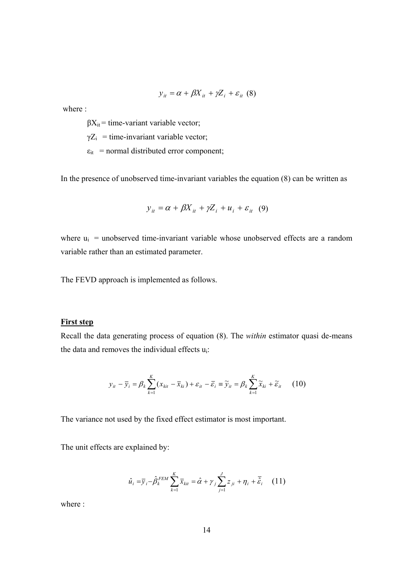$$
y_{it} = \alpha + \beta X_{it} + \gamma Z_i + \varepsilon_{it} \quad (8)
$$

where :

 $\beta X_{it}$  = time-variant variable vector;

 $\gamma Z_i$  = time-invariant variable vector;

 $\varepsilon_{it}$  = normal distributed error component;

In the presence of unobserved time-invariant variables the equation (8) can be written as

$$
y_{it} = \alpha + \beta X_{it} + \gamma Z_i + u_i + \varepsilon_{it} \quad (9)
$$

where  $u_i$  = unobserved time-invariant variable whose unobserved effects are a random variable rather than an estimated parameter.

The FEVD approach is implemented as follows.

#### **First step**

Recall the data generating process of equation (8). The *within* estimator quasi de-means the data and removes the individual effects ui:

$$
y_{it} - \overline{y}_i = \beta_k \sum_{k=1}^K (x_{kit} - \overline{x}_{ki}) + \varepsilon_{it} - \overline{\varepsilon}_i \equiv \widetilde{y}_{it} = \beta_k \sum_{k=1}^K \widetilde{x}_{ki} + \widetilde{\varepsilon}_{it}
$$
 (10)

The variance not used by the fixed effect estimator is most important.

The unit effects are explained by:

$$
\hat{u}_i = \overline{y}_i - \hat{\beta}_k^{FEM} \sum_{k=1}^K \overline{x}_{kit} = \hat{\alpha} + \gamma_j \sum_{j=1}^J z_{ji} + \eta_i + \overline{\hat{\varepsilon}}_i \quad (11)
$$

where :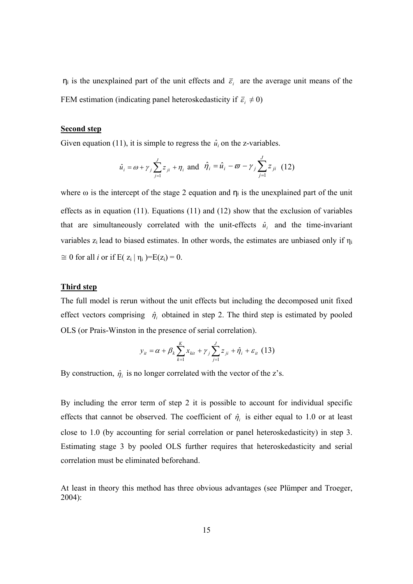$\eta_i$  is the unexplained part of the unit effects and  $\bar{\varepsilon}_i$  are the average unit means of the FEM estimation (indicating panel heteroskedasticity if  $\bar{\varepsilon}_i \neq 0$ )

#### **Second step**

Given equation (11), it is simple to regress the  $\hat{u}_i$  on the z-variables.

$$
\hat{u}_i = \omega + \gamma_j \sum_{j=1}^J z_{ji} + \eta_i
$$
 and  $\hat{\eta}_i = \hat{u}_i - \omega - \gamma_j \sum_{j=1}^J z_{ji}$  (12)

where  $\omega$  is the intercept of the stage 2 equation and  $\eta_i$  is the unexplained part of the unit effects as in equation (11). Equations (11) and (12) show that the exclusion of variables that are simultaneously correlated with the unit-effects  $\hat{u}_i$  and the time-invariant variables  $z_i$  lead to biased estimates. In other words, the estimates are unbiased only if  $\eta_i$  $\approx$  0 for all *i* or if E(  $z_i | \eta_i$  )=E( $z_i$ ) = 0.

#### **Third step**

The full model is rerun without the unit effects but including the decomposed unit fixed effect vectors comprising  $\hat{\eta}_i$  obtained in step 2. The third step is estimated by pooled OLS (or Prais-Winston in the presence of serial correlation).

$$
y_{it} = \alpha + \beta_k \sum_{k=1}^{K} x_{kit} + \gamma_j \sum_{j=1}^{J} z_{ji} + \hat{\eta}_i + \varepsilon_{it} (13)
$$

By construction,  $\hat{\eta}_i$  is no longer correlated with the vector of the z's.

By including the error term of step 2 it is possible to account for individual specific effects that cannot be observed. The coefficient of  $\hat{\eta}_i$  is either equal to 1.0 or at least close to 1.0 (by accounting for serial correlation or panel heteroskedasticity) in step 3. Estimating stage 3 by pooled OLS further requires that heteroskedasticity and serial correlation must be eliminated beforehand.

At least in theory this method has three obvious advantages (see Plümper and Troeger, 2004):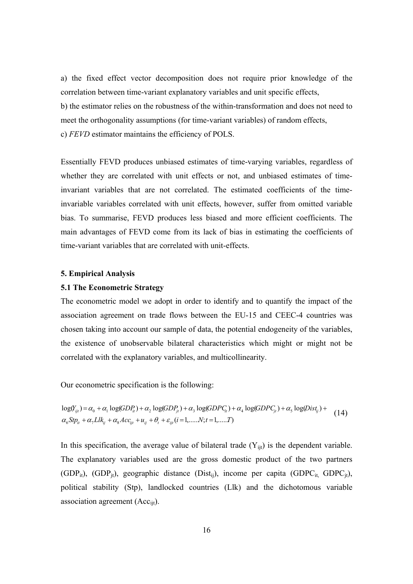a) the fixed effect vector decomposition does not require prior knowledge of the correlation between time-variant explanatory variables and unit specific effects, b) the estimator relies on the robustness of the within-transformation and does not need to meet the orthogonality assumptions (for time-variant variables) of random effects, c) *FEVD* estimator maintains the efficiency of POLS.

Essentially FEVD produces unbiased estimates of time-varying variables, regardless of whether they are correlated with unit effects or not, and unbiased estimates of timeinvariant variables that are not correlated. The estimated coefficients of the timeinvariable variables correlated with unit effects, however, suffer from omitted variable bias. To summarise, FEVD produces less biased and more efficient coefficients. The main advantages of FEVD come from its lack of bias in estimating the coefficients of time-variant variables that are correlated with unit-effects.

#### **5. Empirical Analysis**

#### **5.1 The Econometric Strategy**

The econometric model we adopt in order to identify and to quantify the impact of the association agreement on trade flows between the EU-15 and CEEC-4 countries was chosen taking into account our sample of data, the potential endogeneity of the variables, the existence of unobservable bilateral characteristics which might or might not be correlated with the explanatory variables, and multicollinearity.

Our econometric specification is the following:

 $\alpha_6 S t p_{it} + \alpha_7 L l k_{ij} + \alpha_8 A c c_{ijt} + u_{ij} + \theta_t + \varepsilon_{ijt} (i = 1, \dots N; t = 1, \dots T)$  $log(Y_{ijt}) = \alpha_0 + \alpha_1 log(GDP_{it}) + \alpha_2 log(GDP_{jt}) + \alpha_3 log(GDPC_{it}) + \alpha_4 log(GDPC_{jt}) + \alpha_5 log(Dist_{tj}) +$  (14)

In this specification, the average value of bilateral trade  $(Y_{ijt})$  is the dependent variable. The explanatory variables used are the gross domestic product of the two partners (GDP<sub>it</sub>), (GDP<sub>it</sub>), geographic distance (Dist<sub>ij</sub>), income per capita (GDPC<sub>it,</sub> GDPC<sub>jt</sub>), political stability (Stp), landlocked countries (Llk) and the dichotomous variable association agreement (Acc<sub>iit</sub>).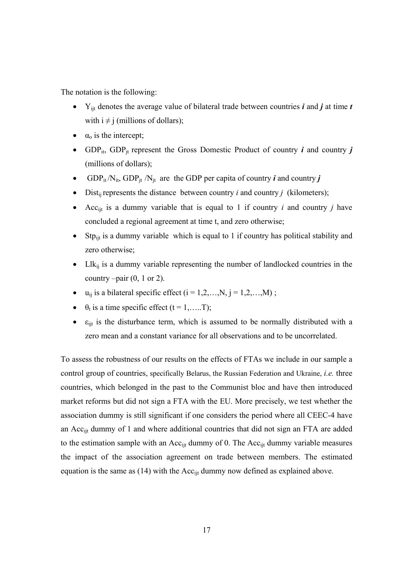The notation is the following:

- Yijt denotes the average value of bilateral trade between countries *i* and *j* at time *t*  with  $i \neq j$  (millions of dollars);
- $\bullet$   $\alpha_0$  is the intercept;
- GDP<sub>it</sub>, GDP<sub>it</sub> represent the Gross Domestic Product of country *i* and country *j* (millions of dollars);
- GDP<sub>it</sub>/N<sub>it</sub>, GDP<sub>it</sub>/N<sub>it</sub> are the GDP per capita of country *i* and country *j*
- Dist<sub>ij</sub> represents the distance between country  $i$  and country  $j$  (kilometers);
- Accijt is a dummy variable that is equal to 1 if country *i* and country *j* have concluded a regional agreement at time t, and zero otherwise;
- Stp<sub>ijt</sub> is a dummy variable which is equal to 1 if country has political stability and zero otherwise;
- Ll $k_{ii}$  is a dummy variable representing the number of landlocked countries in the country  $-pair (0, 1 or 2)$ .
- $u_{ii}$  is a bilateral specific effect  $(i = 1, 2, \ldots, N, j = 1, 2, \ldots, M)$ ;
- $\cdot$   $\theta_t$  is a time specific effect (t = 1,.....T);
- $\bullet$   $\varepsilon$ <sub>ijt</sub> is the disturbance term, which is assumed to be normally distributed with a zero mean and a constant variance for all observations and to be uncorrelated.

To assess the robustness of our results on the effects of FTAs we include in our sample a control group of countries, specifically Belarus, the Russian Federation and Ukraine, *i.e.* three countries, which belonged in the past to the Communist bloc and have then introduced market reforms but did not sign a FTA with the EU. More precisely, we test whether the association dummy is still significant if one considers the period where all CEEC-4 have an Acc<sub>iit</sub> dummy of 1 and where additional countries that did not sign an FTA are added to the estimation sample with an  $Acc_{\text{lit}}$  dummy of 0. The  $Acc_{\text{lit}}$  dummy variable measures the impact of the association agreement on trade between members. The estimated equation is the same as  $(14)$  with the Acc<sub>ijt</sub> dummy now defined as explained above.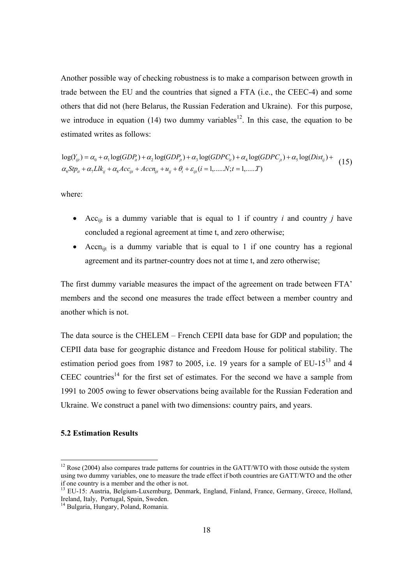Another possible way of checking robustness is to make a comparison between growth in trade between the EU and the countries that signed a FTA (i.e., the CEEC-4) and some others that did not (here Belarus, the Russian Federation and Ukraine). For this purpose, we introduce in equation (14) two dummy variables<sup>12</sup>. In this case, the equation to be estimated writes as follows:

 $\alpha_6 S t p_{it} + \alpha_7 L l k_{it} + \alpha_8 A c c_{it} + A c c n_{it} + u_{it} + \theta_t + \varepsilon_{it} (i = 1, \dots, N; t = 1, \dots, T)$  $log(Y_{ijt}) = \alpha_0 + \alpha_1 log(GDP_{ii}) + \alpha_2 log(GDP_{ji}) + \alpha_3 log(GDPC_{ii}) + \alpha_4 log(GDPC_{ji}) + \alpha_5 log(Dist_{ij}) +$  (15)

where:

- Accijt is a dummy variable that is equal to 1 if country *i* and country *j* have concluded a regional agreement at time t, and zero otherwise;
- Accn<sub>ijt</sub> is a dummy variable that is equal to 1 if one country has a regional agreement and its partner-country does not at time t, and zero otherwise;

The first dummy variable measures the impact of the agreement on trade between FTA' members and the second one measures the trade effect between a member country and another which is not.

The data source is the CHELEM – French CEPII data base for GDP and population; the CEPII data base for geographic distance and Freedom House for political stability. The estimation period goes from 1987 to 2005, i.e. 19 years for a sample of  $EU-15<sup>13</sup>$  and 4 CEEC countries<sup>14</sup> for the first set of estimates. For the second we have a sample from 1991 to 2005 owing to fewer observations being available for the Russian Federation and Ukraine. We construct a panel with two dimensions: country pairs, and years.

#### **5.2 Estimation Results**

 $\overline{a}$ 

 $12$  Rose (2004) also compares trade patterns for countries in the GATT/WTO with those outside the system using two dummy variables, one to measure the trade effect if both countries are GATT/WTO and the other if one country is a member and the other is not.

<sup>&</sup>lt;sup>13</sup> EU-15: Austria, Belgium-Luxemburg, Denmark, England, Finland, France, Germany, Greece, Holland, Ireland, Italy, Portugal, Spain, Sweden.

<sup>14</sup> Bulgaria, Hungary, Poland, Romania.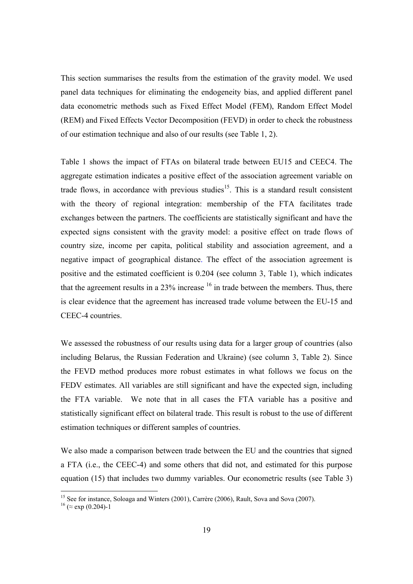This section summarises the results from the estimation of the gravity model. We used panel data techniques for eliminating the endogeneity bias, and applied different panel data econometric methods such as Fixed Effect Model (FEM), Random Effect Model (REM) and Fixed Effects Vector Decomposition (FEVD) in order to check the robustness of our estimation technique and also of our results (see Table 1, 2).

Table 1 shows the impact of FTAs on bilateral trade between EU15 and CEEC4. The aggregate estimation indicates a positive effect of the association agreement variable on trade flows, in accordance with previous studies<sup>15</sup>. This is a standard result consistent with the theory of regional integration: membership of the FTA facilitates trade exchanges between the partners. The coefficients are statistically significant and have the expected signs consistent with the gravity model: a positive effect on trade flows of country size, income per capita, political stability and association agreement, and a negative impact of geographical distance. The effect of the association agreement is positive and the estimated coefficient is 0.204 (see column 3, Table 1), which indicates that the agreement results in a  $23\%$  increase  $16$  in trade between the members. Thus, there is clear evidence that the agreement has increased trade volume between the EU-15 and CEEC-4 countries.

We assessed the robustness of our results using data for a larger group of countries (also including Belarus, the Russian Federation and Ukraine) (see column 3, Table 2). Since the FEVD method produces more robust estimates in what follows we focus on the FEDV estimates. All variables are still significant and have the expected sign, including the FTA variable. We note that in all cases the FTA variable has a positive and statistically significant effect on bilateral trade. This result is robust to the use of different estimation techniques or different samples of countries.

We also made a comparison between trade between the EU and the countries that signed a FTA (i.e., the CEEC-4) and some others that did not, and estimated for this purpose equation (15) that includes two dummy variables. Our econometric results (see Table 3)

<sup>&</sup>lt;sup>15</sup> See for instance, Soloaga and Winters (2001), Carrère (2006), Rault, Sova and Sova (2007).

 $16 \approx \exp{(0.204)}$ -1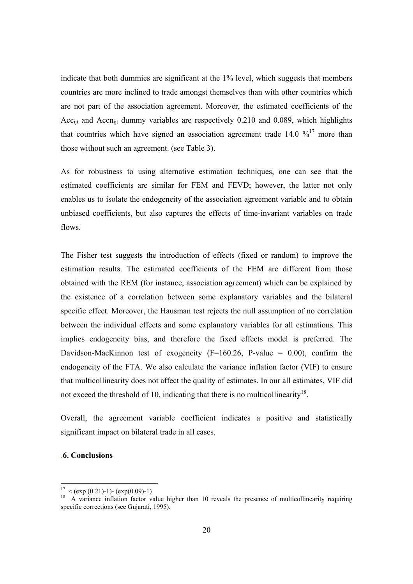indicate that both dummies are significant at the 1% level, which suggests that members countries are more inclined to trade amongst themselves than with other countries which are not part of the association agreement. Moreover, the estimated coefficients of the Acc<sub>ijt</sub> and Accn<sub>ijt</sub> dummy variables are respectively 0.210 and 0.089, which highlights that countries which have signed an association agreement trade  $14.0 \frac{\frac{1}{17}}{100}$  more than those without such an agreement. (see Table 3).

As for robustness to using alternative estimation techniques, one can see that the estimated coefficients are similar for FEM and FEVD; however, the latter not only enables us to isolate the endogeneity of the association agreement variable and to obtain unbiased coefficients, but also captures the effects of time-invariant variables on trade flows.

The Fisher test suggests the introduction of effects (fixed or random) to improve the estimation results. The estimated coefficients of the FEM are different from those obtained with the REM (for instance, association agreement) which can be explained by the existence of a correlation between some explanatory variables and the bilateral specific effect. Moreover, the Hausman test rejects the null assumption of no correlation between the individual effects and some explanatory variables for all estimations. This implies endogeneity bias, and therefore the fixed effects model is preferred. The Davidson-MacKinnon test of exogeneity  $(F=160.26, P-value = 0.00)$ , confirm the endogeneity of the FTA. We also calculate the variance inflation factor (VIF) to ensure that multicollinearity does not affect the quality of estimates. In our all estimates, VIF did not exceed the threshold of 10, indicating that there is no multicollinearity<sup>18</sup>.

Overall, the agreement variable coefficient indicates a positive and statistically significant impact on bilateral trade in all cases.

#### .**6. Conclusions**

<sup>&</sup>lt;sup>17</sup>  $\approx$  (exp (0.21)-1)- (exp(0.09)-1)

<sup>&</sup>lt;sup>18</sup> A variance inflation factor value higher than 10 reveals the presence of multicollinearity requiring specific corrections (see Gujarati, 1995).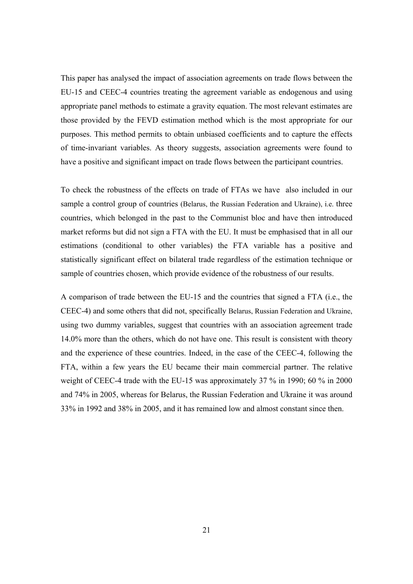This paper has analysed the impact of association agreements on trade flows between the EU-15 and CEEC-4 countries treating the agreement variable as endogenous and using appropriate panel methods to estimate a gravity equation. The most relevant estimates are those provided by the FEVD estimation method which is the most appropriate for our purposes. This method permits to obtain unbiased coefficients and to capture the effects of time-invariant variables. As theory suggests, association agreements were found to have a positive and significant impact on trade flows between the participant countries.

To check the robustness of the effects on trade of FTAs we have also included in our sample a control group of countries (Belarus, the Russian Federation and Ukraine), i.e. three countries, which belonged in the past to the Communist bloc and have then introduced market reforms but did not sign a FTA with the EU. It must be emphasised that in all our estimations (conditional to other variables) the FTA variable has a positive and statistically significant effect on bilateral trade regardless of the estimation technique or sample of countries chosen, which provide evidence of the robustness of our results.

A comparison of trade between the EU-15 and the countries that signed a FTA (i.e., the CEEC-4) and some others that did not, specifically Belarus, Russian Federation and Ukraine, using two dummy variables, suggest that countries with an association agreement trade 14.0% more than the others, which do not have one. This result is consistent with theory and the experience of these countries. Indeed, in the case of the CEEC-4, following the FTA, within a few years the EU became their main commercial partner. The relative weight of CEEC-4 trade with the EU-15 was approximately 37 % in 1990; 60 % in 2000 and 74% in 2005, whereas for Belarus, the Russian Federation and Ukraine it was around 33% in 1992 and 38% in 2005, and it has remained low and almost constant since then.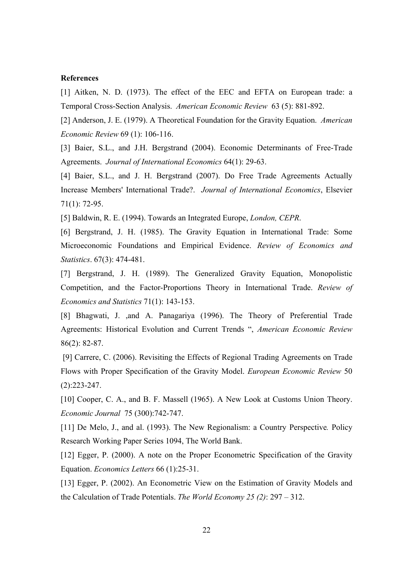#### **References**

[1] Aitken, N. D. (1973). The effect of the EEC and EFTA on European trade: a Temporal Cross-Section Analysis. *American Economic Review* 63 (5): 881-892.

[2] Anderson, J. E. (1979). A Theoretical Foundation for the Gravity Equation. *American Economic Review* 69 (1): 106-116.

[3] Baier, S.L., and J.H. Bergstrand (2004). Economic Determinants of Free-Trade Agreements. *Journal of International Economics* 64(1): 29-63.

[4] Baier, S.L., and J. H. Bergstrand (2007). Do Free Trade Agreements Actually Increase Members' International Trade?. *Journal of International Economics*, Elsevier 71(1): 72-95.

[5] Baldwin, R. E. (1994). Towards an Integrated Europe, *London, CEPR*.

[6] Bergstrand, J. H. (1985). The Gravity Equation in International Trade: Some Microeconomic Foundations and Empirical Evidence. *Review of Economics and Statistics*. 67(3): 474-481.

[7] Bergstrand, J. H. (1989). The Generalized Gravity Equation, Monopolistic Competition, and the Factor-Proportions Theory in International Trade. *Review of Economics and Statistics* 71(1): 143-153.

[8] Bhagwati, J. ,and A. Panagariya (1996). The Theory of Preferential Trade Agreements: Historical Evolution and Current Trends ", *American Economic Review* 86(2): 82-87.

 [9] Carrere, C. (2006). Revisiting the Effects of Regional Trading Agreements on Trade Flows with Proper Specification of the Gravity Model. *European Economic Review* 50 (2):223-247.

[10] Cooper, C. A., and B. F. Massell (1965). A New Look at Customs Union Theory. *Economic Journal* 75 (300):742-747.

[11] De Melo, J., and al. (1993). The New Regionalism: a Country Perspective*.* Policy Research Working Paper Series 1094, The World Bank.

[12] Egger, P. (2000). A note on the Proper Econometric Specification of the Gravity Equation. *Economics Letters* 66 (1):25-31.

[13] Egger, P. (2002). An Econometric View on the Estimation of Gravity Models and the Calculation of Trade Potentials. *The World Economy 25 (2)*: 297 – 312.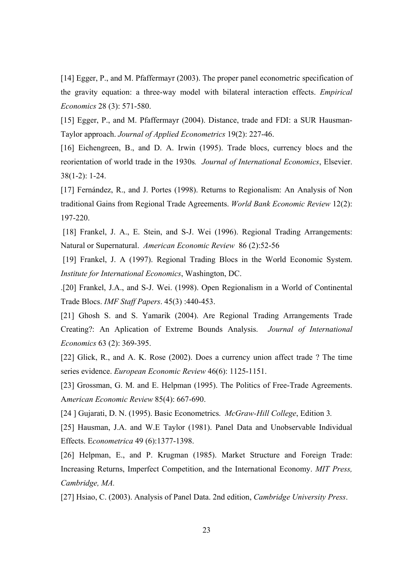[14] Egger, P., and M. Pfaffermayr (2003). The proper panel econometric specification of the gravity equation: a three-way model with bilateral interaction effects. *Empirical Economics* 28 (3): 571-580.

[15] Egger, P., and M. Pfaffermayr (2004). Distance, trade and FDI: a SUR Hausman-Taylor approach. *Journal of Applied Econometrics* 19(2): 227-46.

[16] Eichengreen, B., and D. A. Irwin (1995). Trade blocs, currency blocs and the reorientation of world trade in the 1930s*. Journal of International Economics*, Elsevier. 38(1-2): 1-24.

[17] Fernández, R., and J. Portes (1998). Returns to Regionalism: An Analysis of Non traditional Gains from Regional Trade Agreements. *World Bank Economic Review* 12(2): 197-220.

[18] Frankel, J. A., E. Stein, and S-J. Wei (1996). Regional Trading Arrangements: Natural or Supernatural. *American Economic Review* 86 (2):52-56

[19] Frankel, J. A (1997). Regional Trading Blocs in the World Economic System. *Institute for International Economics*, Washington, DC.

.[20] Frankel, J.A., and S-J. Wei. (1998). Open Regionalism in a World of Continental Trade Blocs. *IMF Staff Papers*. 45(3) :440-453.

[21] Ghosh S. and S. Yamarik (2004). Are Regional Trading Arrangements Trade Creating?: An Aplication of Extreme Bounds Analysis. *Journal of International Economics* 63 (2): 369-395.

[22] Glick, R., and A. K. Rose (2002). Does a currency union affect trade ? The time series evidence. *European Economic Review* 46(6): 1125-1151.

[23] Grossman, G. M. and E. Helpman (1995). The Politics of Free-Trade Agreements. A*merican Economic Review* 85(4): 667-690.

[24 ] Gujarati, D. N. (1995). Basic Econometrics. *McGraw-Hill College*, Edition 3*.*

[25] Hausman, J.A. and W.E Taylor (1981). Panel Data and Unobservable Individual Effects. E*conometrica* 49 (6):1377-1398.

[26] Helpman, E., and P. Krugman (1985). Market Structure and Foreign Trade: Increasing Returns, Imperfect Competition, and the International Economy. *MIT Press, Cambridge, MA.* 

[27] Hsiao, C. (2003). Analysis of Panel Data. 2nd edition, *Cambridge University Press*.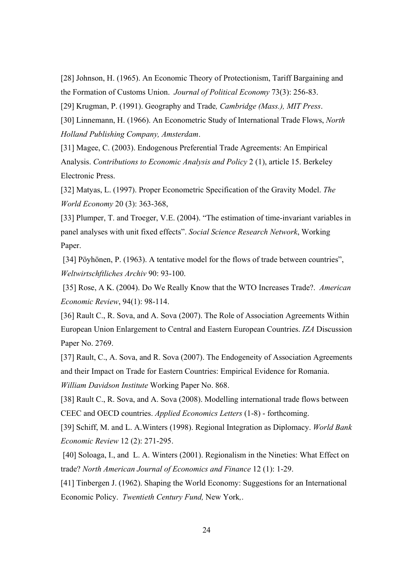[28] Johnson, H. (1965). An Economic Theory of Protectionism, Tariff Bargaining and the Formation of Customs Union. *Journal of Political Economy* 73(3): 256-83.

[29] Krugman, P. (1991). Geography and Trade*, Cambridge (Mass.), MIT Press*.

[30] Linnemann, H. (1966). An Econometric Study of International Trade Flows, *North Holland Publishing Company, Amsterdam*.

[31] Magee, C. (2003). Endogenous Preferential Trade Agreements: An Empirical Analysis. *Contributions to Economic Analysis and Policy* 2 (1), article 15. Berkeley Electronic Press.

[32] Matyas, L. (1997). Proper Econometric Specification of the Gravity Model. *The World Economy* 20 (3): 363-368,

[33] Plumper, T. and Troeger, V.E. (2004). "The estimation of time-invariant variables in panel analyses with unit fixed effects". *Social Science Research Network*, Working Paper.

 [34] Pöyhönen, P. (1963). A tentative model for the flows of trade between countries", *Weltwirtschftliches Archiv* 90: 93-100.

 [35] Rose, A K. (2004). Do We Really Know that the WTO Increases Trade?. *American Economic Review*, 94(1): 98-114.

[36] Rault C., R. Sova, and A. Sova (2007). The Role of Association Agreements Within European Union Enlargement to Central and Eastern European Countries. *IZA* Discussion Paper No. 2769.

[37] Rault, C., A. Sova, and R. Sova (2007). The Endogeneity of Association Agreements and their Impact on Trade for Eastern Countries: Empirical Evidence for Romania. *William Davidson Institute* Working Paper No. 868.

[38] Rault C., R. Sova, and A. Sova (2008). Modelling international trade flows between CEEC and OECD countries. *Applied Economics Letters* (1-8) - forthcoming.

[39] Schiff, M. and L. A.Winters (1998). Regional Integration as Diplomacy. *World Bank Economic Review* 12 (2): 271-295.

 [40] Soloaga, I., and L. A. Winters (2001). Regionalism in the Nineties: What Effect on trade? *North American Journal of Economics and Finance* 12 (1): 1-29.

[41] Tinbergen J. (1962). Shaping the World Economy: Suggestions for an International Economic Policy. *Twentieth Century Fund,* New York*,*.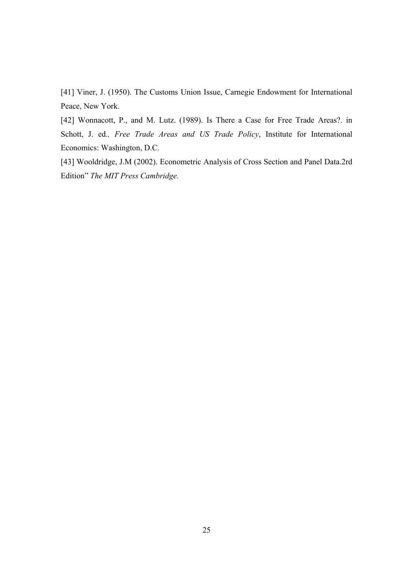[41] Viner, J. (1950). The Customs Union Issue, Carnegie Endowment for International Peace, New York.

[42] Wonnacott, P., and M. Lutz. (1989). Is There a Case for Free Trade Areas?. in Schott, J. ed*., Free Trade Areas and US Trade Policy*, Institute for International Economics: Washington, D.C.

[43] Wooldridge, J.M (2002). Econometric Analysis of Cross Section and Panel Data.2rd Edition" *The MIT Press Cambridge.*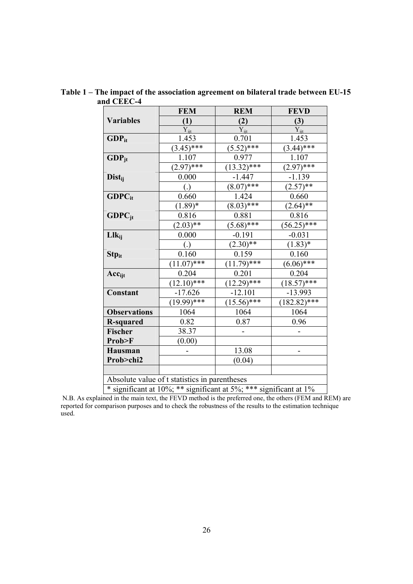|                                                                   | <b>FEM</b>        | <b>REM</b>              | <b>FEVD</b>    |  |
|-------------------------------------------------------------------|-------------------|-------------------------|----------------|--|
| <b>Variables</b>                                                  | (1)               | (2)                     | (3)            |  |
|                                                                   | $Y_{ii}$          | $Y_{ii}$                | $Y_{ii}$       |  |
| $GDP_{it}$                                                        | 1.453             | 0.701                   | 1.453          |  |
|                                                                   | $(3.45)$ ***      | $(5.52)$ ***            | $(3.44)$ ***   |  |
| $GDP_{jt}$                                                        | 1.107             | 0.977                   | 1.107          |  |
|                                                                   | $(2.97)$ ***      | $\overline{(13.32)***}$ | $(2.97)$ ***   |  |
| Dist <sub>ii</sub>                                                | 0.000             | $-1.447$                | $-1.139$       |  |
|                                                                   | $\left( .\right)$ | $\sqrt{(8.07)***}$      | $(2.57)**$     |  |
| $GDPC_{it}$                                                       | 0.660             | 1.424                   | 0.660          |  |
|                                                                   | $(1.89)^*$        | $(8.03)$ ***            | $(2.64)$ **    |  |
| $GDPC_{it}$                                                       | 0.816             | 0.881                   | 0.816          |  |
|                                                                   | $(2.03)$ **       | $(5.68)$ ***            | $(56.25)$ ***  |  |
| $Llk_{ii}$                                                        | 0.000             | $-0.191$                | $-0.031$       |  |
|                                                                   | $\overline{()}$   | $(2.30)**$              | $(1.83)^*$     |  |
| <b>Stp</b> <sub>it</sub>                                          | 0.160             | 0.159                   | 0.160          |  |
|                                                                   | $(11.07)$ ***     | $(11.79)$ ***           | $(6.06)$ ***   |  |
| $Acc_{\text{ijt}}$                                                | 0.204             | 0.201                   | 0.204          |  |
|                                                                   | $(12.10)$ ***     | $(12.29)$ ***           | $(18.57)$ ***  |  |
| Constant                                                          | $-17.626$         | $-12.101$               | $-13.993$      |  |
|                                                                   | $(19.99)^{***}$   | $(15.56)**{**}$         | $(182.82)$ *** |  |
| <b>Observations</b>                                               | 1064              | 1064                    | 1064           |  |
| <b>R-squared</b>                                                  | 0.82              | 0.87                    | 0.96           |  |
| <b>Fischer</b>                                                    | 38.37             |                         |                |  |
| Prob>F                                                            | (0.00)            |                         |                |  |
| Hausman                                                           |                   | 13.08                   |                |  |
| Prob>chi2                                                         |                   | (0.04)                  |                |  |
|                                                                   |                   |                         |                |  |
| Absolute value of t statistics in parentheses                     |                   |                         |                |  |
| * significant at 10%; ** significant at 5%; *** significant at 1% |                   |                         |                |  |

**Table 1 – The impact of the association agreement on bilateral trade between EU-15 and CEEC-4** 

 N.B. As explained in the main text, the FEVD method is the preferred one, the others (FEM and REM) are reported for comparison purposes and to check the robustness of the results to the estimation technique used.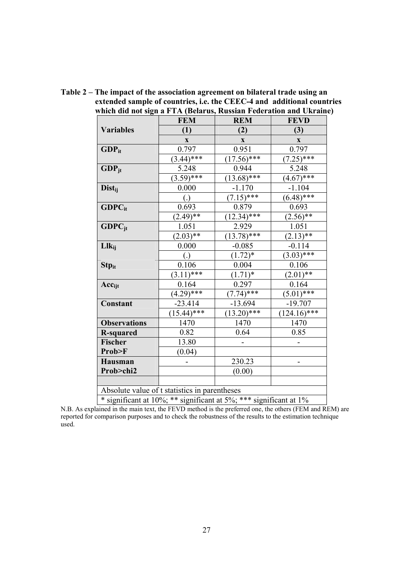|                           | <b>FEM</b>                                                        | <b>REM</b>    | <b>FEVD</b>    |
|---------------------------|-------------------------------------------------------------------|---------------|----------------|
| <b>Variables</b>          | (1)                                                               | (2)           | (3)            |
|                           | $\mathbf{X}$                                                      | $\mathbf{X}$  | $\mathbf{X}$   |
| $GDP_{it}$                | 0.797                                                             | 0.951         | 0.797          |
|                           | $(3.44)$ ***                                                      | $(17.56)$ *** | $(7.25)$ ***   |
| $GDP_{jt}$                | 5.248                                                             | 0.944         | 5.248          |
|                           | $(3.59)$ ***                                                      | $(13.68)$ *** | $(4.67)$ ***   |
| <b>Dist</b> <sub>ii</sub> | 0.000                                                             | $-1.170$      | $-1.104$       |
|                           | $\left( .\right)$                                                 | $(7.15)$ ***  | $(6.48)$ ***   |
| $GDPC_{it}$               | 0.693                                                             | 0.879         | 0.693          |
|                           | $(2.49)$ **                                                       | $(12.34)$ *** | $(2.56)$ **    |
| $GDPC_{it}$               | 1.051                                                             | 2.929         | 1.051          |
|                           | $(2.03)$ **                                                       | $(13.78)$ *** | $(2.13)$ **    |
| $Llk_{ii}$                | 0.000                                                             | $-0.085$      | $-0.114$       |
|                           | $\left( .\right)$                                                 | $(1.72)*$     | $(3.03)$ ***   |
| <b>Stp</b> <sub>it</sub>  | 0.106                                                             | 0.004         | 0.106          |
|                           | $(3.11)$ ***                                                      | $(1.71)^*$    | $(2.01)$ **    |
| $Acc_{ijt}$               | 0.164                                                             | 0.297         | 0.164          |
|                           | $(4.29)$ ***                                                      | $(7.74)$ ***  | $(5.01)$ ***   |
| <b>Constant</b>           | $-23.414$                                                         | $-13.694$     | $-19.707$      |
|                           | $(15.44)$ ***                                                     | $(13.20)*$    | $(124.16)$ *** |
| <b>Observations</b>       | 1470                                                              | 1470          | 1470           |
| <b>R-squared</b>          | 0.82                                                              | 0.64          | 0.85           |
| Fischer                   | 13.80                                                             |               |                |
| Prob>F                    | (0.04)                                                            |               |                |
| Hausman                   |                                                                   | 230.23        |                |
| Prob>chi2                 |                                                                   | (0.00)        |                |
|                           |                                                                   |               |                |
|                           | Absolute value of t statistics in parentheses                     |               |                |
|                           | * significant at 10%; ** significant at 5%; *** significant at 1% |               |                |

**Table 2 – The impact of the association agreement on bilateral trade using an extended sample of countries, i.e. the CEEC-4 and additional countries which did not sign a FTA (Belarus, Russian Federation and Ukraine)** 

N.B. As explained in the main text, the FEVD method is the preferred one, the others (FEM and REM) are reported for comparison purposes and to check the robustness of the results to the estimation technique used.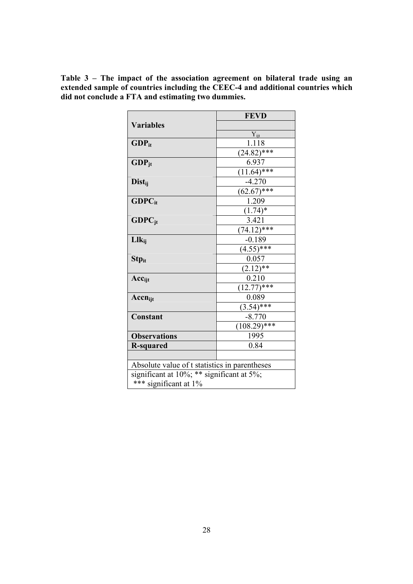|                                               | <b>FEVD</b>    |  |  |  |
|-----------------------------------------------|----------------|--|--|--|
| <b>Variables</b>                              |                |  |  |  |
|                                               | $Y_{ijt}$      |  |  |  |
| $GDP_{it}$                                    | 1.118          |  |  |  |
|                                               | $(24.82)$ ***  |  |  |  |
| $GDP_{it}$                                    | 6.937          |  |  |  |
|                                               | $(11.64)$ ***  |  |  |  |
| Dist <sub>ii</sub>                            | $-4.270$       |  |  |  |
|                                               | $(62.67)$ ***  |  |  |  |
| $GDPC_{it}$                                   | 1.209          |  |  |  |
|                                               | $(1.74)^*$     |  |  |  |
| $GDPC_{jt}$                                   | 3.421          |  |  |  |
|                                               | $(74.12)$ ***  |  |  |  |
| $Llk_{ii}$                                    | $-0.189$       |  |  |  |
|                                               | $(4.55)$ ***   |  |  |  |
| <b>Stp</b> <sub>it</sub>                      | 0.057          |  |  |  |
|                                               | $(2.12)$ **    |  |  |  |
| $Acc_{\text{ijt}}$                            | 0.210          |  |  |  |
|                                               | $(12.77)*$ *** |  |  |  |
| $Accn_{ijt}$                                  | 0.089          |  |  |  |
|                                               | $(3.54)$ ***   |  |  |  |
| Constant                                      | $-8.770$       |  |  |  |
|                                               | $(108.29)$ *** |  |  |  |
| <b>Observations</b>                           | 1995           |  |  |  |
| <b>R-squared</b>                              | 0.84           |  |  |  |
|                                               |                |  |  |  |
| Absolute value of t statistics in parentheses |                |  |  |  |
| significant at $10\%$ ; ** significant at 5%; |                |  |  |  |
| *** significant at 1%                         |                |  |  |  |

**Table 3 – The impact of the association agreement on bilateral trade using an extended sample of countries including the CEEC-4 and additional countries which did not conclude a FTA and estimating two dummies.**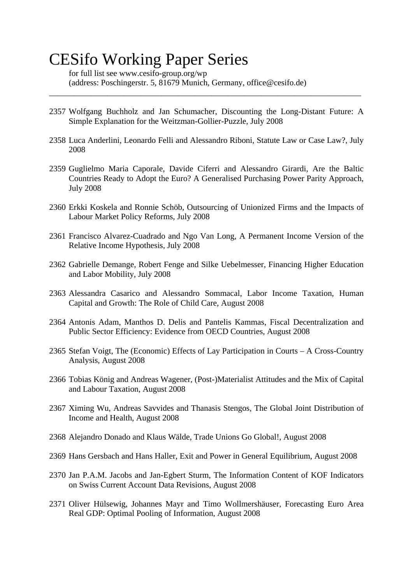# CESifo Working Paper Series

for full list see www.cesifo-group.org/wp (address: Poschingerstr. 5, 81679 Munich, Germany, office@cesifo.de)

2357 Wolfgang Buchholz and Jan Schumacher, Discounting the Long-Distant Future: A Simple Explanation for the Weitzman-Gollier-Puzzle, July 2008

\_\_\_\_\_\_\_\_\_\_\_\_\_\_\_\_\_\_\_\_\_\_\_\_\_\_\_\_\_\_\_\_\_\_\_\_\_\_\_\_\_\_\_\_\_\_\_\_\_\_\_\_\_\_\_\_\_\_\_\_\_\_\_\_\_\_\_\_\_\_\_\_\_\_\_

- 2358 Luca Anderlini, Leonardo Felli and Alessandro Riboni, Statute Law or Case Law?, July 2008
- 2359 Guglielmo Maria Caporale, Davide Ciferri and Alessandro Girardi, Are the Baltic Countries Ready to Adopt the Euro? A Generalised Purchasing Power Parity Approach, July 2008
- 2360 Erkki Koskela and Ronnie Schöb, Outsourcing of Unionized Firms and the Impacts of Labour Market Policy Reforms, July 2008
- 2361 Francisco Alvarez-Cuadrado and Ngo Van Long, A Permanent Income Version of the Relative Income Hypothesis, July 2008
- 2362 Gabrielle Demange, Robert Fenge and Silke Uebelmesser, Financing Higher Education and Labor Mobility, July 2008
- 2363 Alessandra Casarico and Alessandro Sommacal, Labor Income Taxation, Human Capital and Growth: The Role of Child Care, August 2008
- 2364 Antonis Adam, Manthos D. Delis and Pantelis Kammas, Fiscal Decentralization and Public Sector Efficiency: Evidence from OECD Countries, August 2008
- 2365 Stefan Voigt, The (Economic) Effects of Lay Participation in Courts A Cross-Country Analysis, August 2008
- 2366 Tobias König and Andreas Wagener, (Post-)Materialist Attitudes and the Mix of Capital and Labour Taxation, August 2008
- 2367 Ximing Wu, Andreas Savvides and Thanasis Stengos, The Global Joint Distribution of Income and Health, August 2008
- 2368 Alejandro Donado and Klaus Wälde, Trade Unions Go Global!, August 2008
- 2369 Hans Gersbach and Hans Haller, Exit and Power in General Equilibrium, August 2008
- 2370 Jan P.A.M. Jacobs and Jan-Egbert Sturm, The Information Content of KOF Indicators on Swiss Current Account Data Revisions, August 2008
- 2371 Oliver Hülsewig, Johannes Mayr and Timo Wollmershäuser, Forecasting Euro Area Real GDP: Optimal Pooling of Information, August 2008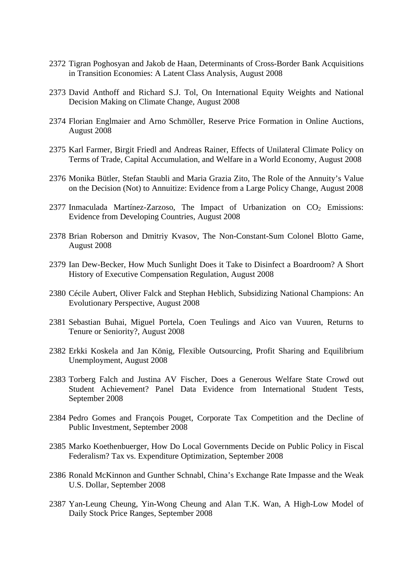- 2372 Tigran Poghosyan and Jakob de Haan, Determinants of Cross-Border Bank Acquisitions in Transition Economies: A Latent Class Analysis, August 2008
- 2373 David Anthoff and Richard S.J. Tol, On International Equity Weights and National Decision Making on Climate Change, August 2008
- 2374 Florian Englmaier and Arno Schmöller, Reserve Price Formation in Online Auctions, August 2008
- 2375 Karl Farmer, Birgit Friedl and Andreas Rainer, Effects of Unilateral Climate Policy on Terms of Trade, Capital Accumulation, and Welfare in a World Economy, August 2008
- 2376 Monika Bütler, Stefan Staubli and Maria Grazia Zito, The Role of the Annuity's Value on the Decision (Not) to Annuitize: Evidence from a Large Policy Change, August 2008
- 2377 Inmaculada Martínez-Zarzoso, The Impact of Urbanization on  $CO<sub>2</sub>$  Emissions: Evidence from Developing Countries, August 2008
- 2378 Brian Roberson and Dmitriy Kvasov, The Non-Constant-Sum Colonel Blotto Game, August 2008
- 2379 Ian Dew-Becker, How Much Sunlight Does it Take to Disinfect a Boardroom? A Short History of Executive Compensation Regulation, August 2008
- 2380 Cécile Aubert, Oliver Falck and Stephan Heblich, Subsidizing National Champions: An Evolutionary Perspective, August 2008
- 2381 Sebastian Buhai, Miguel Portela, Coen Teulings and Aico van Vuuren, Returns to Tenure or Seniority?, August 2008
- 2382 Erkki Koskela and Jan König, Flexible Outsourcing, Profit Sharing and Equilibrium Unemployment, August 2008
- 2383 Torberg Falch and Justina AV Fischer, Does a Generous Welfare State Crowd out Student Achievement? Panel Data Evidence from International Student Tests, September 2008
- 2384 Pedro Gomes and François Pouget, Corporate Tax Competition and the Decline of Public Investment, September 2008
- 2385 Marko Koethenbuerger, How Do Local Governments Decide on Public Policy in Fiscal Federalism? Tax vs. Expenditure Optimization, September 2008
- 2386 Ronald McKinnon and Gunther Schnabl, China's Exchange Rate Impasse and the Weak U.S. Dollar, September 2008
- 2387 Yan-Leung Cheung, Yin-Wong Cheung and Alan T.K. Wan, A High-Low Model of Daily Stock Price Ranges, September 2008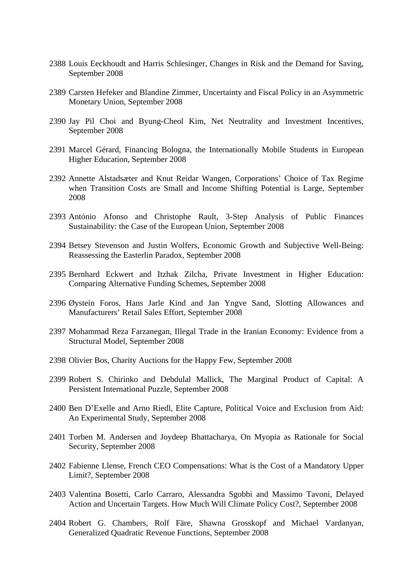- 2388 Louis Eeckhoudt and Harris Schlesinger, Changes in Risk and the Demand for Saving, September 2008
- 2389 Carsten Hefeker and Blandine Zimmer, Uncertainty and Fiscal Policy in an Asymmetric Monetary Union, September 2008
- 2390 Jay Pil Choi and Byung-Cheol Kim, Net Neutrality and Investment Incentives, September 2008
- 2391 Marcel Gérard, Financing Bologna, the Internationally Mobile Students in European Higher Education, September 2008
- 2392 Annette Alstadsæter and Knut Reidar Wangen, Corporations' Choice of Tax Regime when Transition Costs are Small and Income Shifting Potential is Large, September 2008
- 2393 António Afonso and Christophe Rault, 3-Step Analysis of Public Finances Sustainability: the Case of the European Union, September 2008
- 2394 Betsey Stevenson and Justin Wolfers, Economic Growth and Subjective Well-Being: Reassessing the Easterlin Paradox, September 2008
- 2395 Bernhard Eckwert and Itzhak Zilcha, Private Investment in Higher Education: Comparing Alternative Funding Schemes, September 2008
- 2396 Øystein Foros, Hans Jarle Kind and Jan Yngve Sand, Slotting Allowances and Manufacturers' Retail Sales Effort, September 2008
- 2397 Mohammad Reza Farzanegan, Illegal Trade in the Iranian Economy: Evidence from a Structural Model, September 2008
- 2398 Olivier Bos, Charity Auctions for the Happy Few, September 2008
- 2399 Robert S. Chirinko and Debdulal Mallick, The Marginal Product of Capital: A Persistent International Puzzle, September 2008
- 2400 Ben D'Exelle and Arno Riedl, Elite Capture, Political Voice and Exclusion from Aid: An Experimental Study, September 2008
- 2401 Torben M. Andersen and Joydeep Bhattacharya, On Myopia as Rationale for Social Security, September 2008
- 2402 Fabienne Llense, French CEO Compensations: What is the Cost of a Mandatory Upper Limit?, September 2008
- 2403 Valentina Bosetti, Carlo Carraro, Alessandra Sgobbi and Massimo Tavoni, Delayed Action and Uncertain Targets. How Much Will Climate Policy Cost?, September 2008
- 2404 Robert G. Chambers, Rolf Färe, Shawna Grosskopf and Michael Vardanyan, Generalized Quadratic Revenue Functions, September 2008